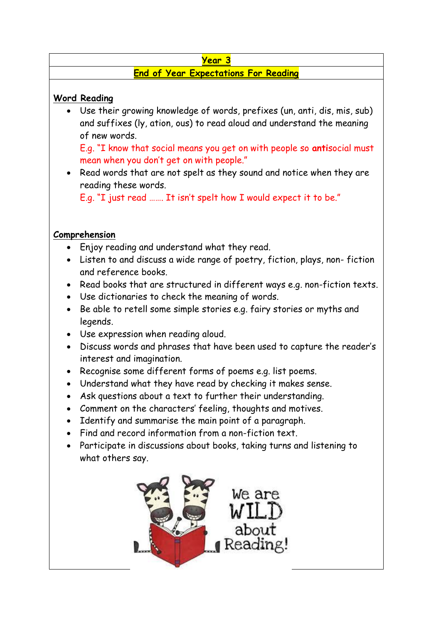#### **Year 3**

## **End of Year Expectations For Reading**

#### **Word Reading**

 Use their growing knowledge of words, prefixes (un, anti, dis, mis, sub) and suffixes (ly, ation, ous) to read aloud and understand the meaning of new words.

E.g. "I know that social means you get on with people so **anti**social must mean when you don't get on with people."

• Read words that are not spelt as they sound and notice when they are reading these words.

E.g. "I just read ……. It isn't spelt how I would expect it to be."

### **Comprehension**

- Enjoy reading and understand what they read.
- Listen to and discuss a wide range of poetry, fiction, plays, non- fiction and reference books.
- Read books that are structured in different ways e.g. non-fiction texts.
- Use dictionaries to check the meaning of words.
- Be able to retell some simple stories e.g. fairy stories or myths and legends.
- Use expression when reading aloud.
- Discuss words and phrases that have been used to capture the reader's interest and imagination.
- Recognise some different forms of poems e.g. list poems.
- Understand what they have read by checking it makes sense.
- Ask questions about a text to further their understanding.
- Comment on the characters' feeling, thoughts and motives.
- Identify and summarise the main point of a paragraph.
- Find and record information from a non-fiction text.
- Participate in discussions about books, taking turns and listening to what others say.